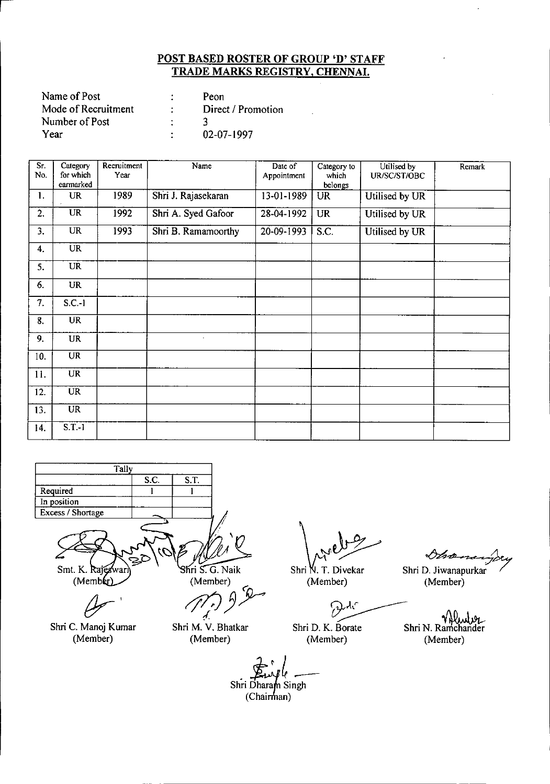| Name of Post        | Peon               |
|---------------------|--------------------|
| Mode of Recruitment | Direct / Promotion |
| Number of Post      |                    |
| Year                | 02-07-1997         |

| Sr.<br>No. | Category<br>for which<br>earmarked | Recruitment<br>Year | Name                        | Date of<br>Appointment | Category to<br>which<br>belongs | Utilised by<br>UR/SC/ST/OBC | Remark |
|------------|------------------------------------|---------------------|-----------------------------|------------------------|---------------------------------|-----------------------------|--------|
| 1.         | <b>UR</b>                          | 1989                | Shri J. Rajasekaran         | 13-01-1989             | <b>UR</b>                       | Utilised by UR              |        |
| 2.         | <b>UR</b>                          | 1992                | Shri A. Syed Gafoor         | 28-04-1992             | <b>UR</b>                       | Utilised by UR              |        |
| 3.         | UR                                 | 1993                | Shri B. Ramamoorthy         | 20-09-1993             | S.C.                            | Utilised by UR              |        |
| 4.         | <b>UR</b>                          |                     |                             |                        |                                 |                             |        |
| 5.         | <b>UR</b>                          |                     |                             |                        |                                 |                             |        |
| 6.         | <b>UR</b>                          |                     |                             |                        |                                 |                             |        |
| 7.         | $S.C.-1$                           |                     |                             |                        |                                 |                             |        |
| 8.         | <b>UR</b>                          |                     |                             |                        |                                 |                             |        |
| 9.         | <b>UR</b>                          |                     | $\mathcal{L}_{\mathcal{A}}$ |                        |                                 |                             |        |
| 10.        | <b>UR</b>                          |                     |                             |                        |                                 |                             |        |
| 11.        | <b>UR</b>                          |                     |                             |                        |                                 |                             |        |
| 12.        | <b>UR</b>                          |                     |                             |                        |                                 |                             |        |
| 13.        | $\overline{\text{UR}}$             |                     |                             |                        |                                 |                             |        |
| 14.        | $S.T.-1$                           |                     |                             |                        |                                 |                             |        |



Shri C. Manoj Kumar (Member)

 $\overline{\mathcal{A}}$ Shri M. V. Bhatkar (Member)

Shri N. T. Divekar (Member)

ብረ ر<br><u>-</u>

Shri D. K. Borate Shri N. Ra

 $\Diamond h$   $\Diamond$ 

 $\ddot{\phantom{a}}$ 

Shri D. Jiwanapurkar (Member)

YW ulve (Member) (Member)

Shri Dharam Singh<br>(Chairman)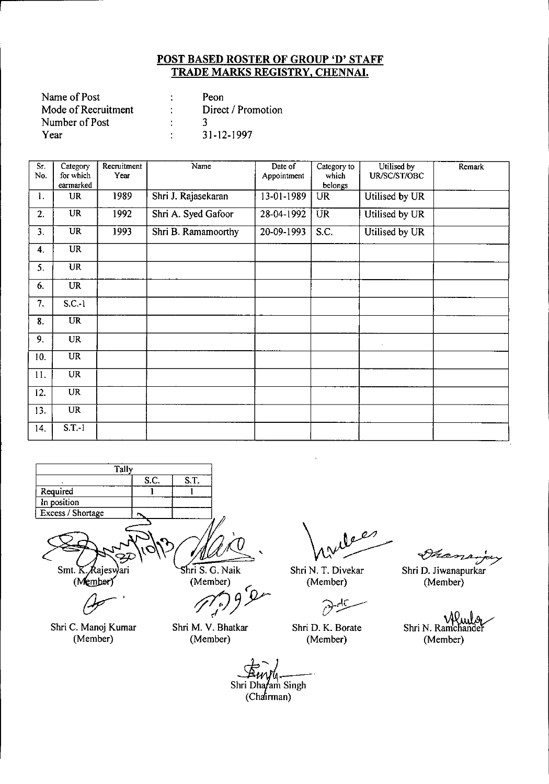| Name of Post        | Peon               |
|---------------------|--------------------|
| Mode of Recruitment | Direct / Promotion |
| Number of Post      |                    |
| Year                | 31-12-1997         |

| Sr. | Category               | Recruitment | Name                | Date of     | Category to      | Utilised by    | Remark |
|-----|------------------------|-------------|---------------------|-------------|------------------|----------------|--------|
| No. | for which<br>earmarked | Year        |                     | Appointment | which<br>belongs | UR/SC/ST/OBC   |        |
| 1.  | <b>UR</b>              | 1989        | Shri J. Rajasekaran | 13-01-1989  | <b>UR</b>        | Utilised by UR |        |
| 2.  | UR                     | 1992        | Shri A. Syed Gafoor | 28-04-1992  | <b>UR</b>        | Utilised by UR |        |
| 3.  | <b>UR</b>              | 1993        | Shri B. Ramamoorthy | 20-09-1993  | S.C.             | Utilised by UR |        |
| 4.  | <b>UR</b>              |             |                     |             |                  |                |        |
| 5.  | <b>UR</b>              |             |                     |             |                  |                |        |
| 6.  | <b>UR</b>              |             |                     |             |                  |                |        |
| 7.  | $S.C.-1$               |             |                     |             |                  |                |        |
| 8.  | <b>UR</b>              |             |                     |             |                  |                |        |
| 9.  | <b>UR</b>              |             |                     |             |                  |                |        |
| 10. | <b>UR</b>              |             |                     |             |                  |                |        |
| 11. | <b>UR</b>              |             |                     |             |                  |                |        |
| 12. | $\overline{\text{UR}}$ |             |                     |             |                  |                |        |
| 13. | <b>UR</b>              |             |                     |             |                  |                |        |
| 14. | $S.T.-1$               |             |                     |             |                  |                |        |



Shri C. Manoj Kumar (Member)

(Member)

*tftj))Y*

Shri M. V. Bhatkar (Member)

 $e^{i\theta}$ 

Shri N. T. Divekar (Member)

Shri D. K. Borate (Member)

Shanson

Shri D. Jiwanapurkar (Member)

Shri N. Ramchandel (Member)

Shri Dha*farr* Singh (Chairman)

,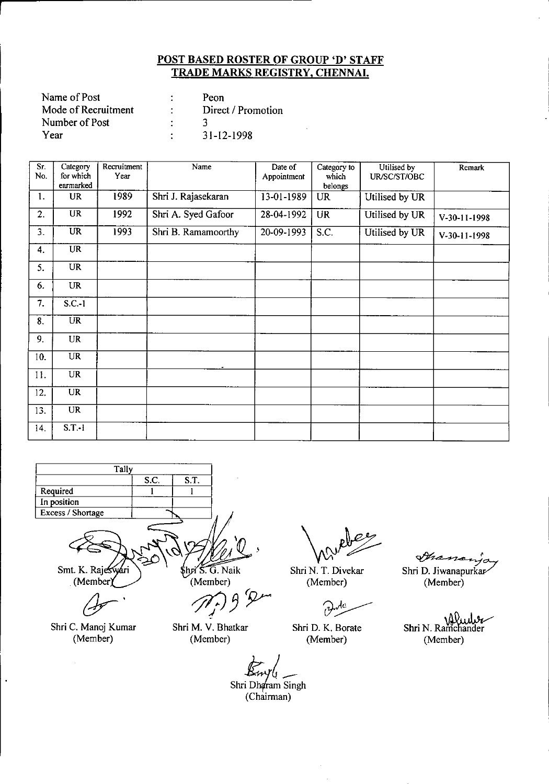| Name of Post        | Peon               |
|---------------------|--------------------|
| Mode of Recruitment | Direct / Promotion |
| Number of Post      |                    |
| Year                | 31-12-1998         |

| $\overline{Sr.}$<br>No. | Category<br>for which<br>earmarked | Recruitment<br>Year | Name                | Date of<br>Appointment | Category to<br>which<br>belongs | Utilised by<br>UR/SC/ST/OBC | Remark       |
|-------------------------|------------------------------------|---------------------|---------------------|------------------------|---------------------------------|-----------------------------|--------------|
| 1.                      | <b>UR</b>                          | 1989                | Shri J. Rajasekaran | 13-01-1989             | <b>UR</b>                       | Utilised by UR              |              |
| 2.                      | <b>UR</b>                          | 1992                | Shri A. Syed Gafoor | 28-04-1992             | <b>UR</b>                       | Utilised by UR              | V-30-11-1998 |
| 3.                      | $\overline{\text{UR}}$             | 1993                | Shri B. Ramamoorthy | 20-09-1993             | S.C.                            | Utilised by UR              | V-30-11-1998 |
| 4.                      | <b>UR</b>                          |                     |                     |                        |                                 |                             |              |
| 5.                      | <b>UR</b>                          |                     |                     |                        |                                 |                             |              |
| 6.                      | <b>UR</b>                          |                     |                     |                        |                                 |                             |              |
| 7.                      | $S.C.-1$                           |                     |                     |                        |                                 |                             |              |
| 8.                      | $\overline{\text{UR}}$             |                     |                     |                        |                                 |                             |              |
| 9.                      | <b>UR</b>                          |                     |                     |                        |                                 |                             |              |
| 10.                     | <b>UR</b>                          |                     |                     |                        |                                 |                             |              |
| 11.                     | <b>UR</b>                          |                     |                     |                        |                                 |                             |              |
| 12.                     | $\overline{\text{UR}}$             |                     |                     |                        |                                 |                             |              |
| 13.                     | <b>UR</b>                          |                     |                     |                        |                                 |                             |              |
| 14.                     | $S.T.-1$                           |                     |                     |                        |                                 |                             |              |



Shri C. Manoj Kumar (Member)

 $\hat{\mathbf{r}}$ 

Shri M. V. Bhatkar (Member)

Shri N. T. Divekar (Member)

ن ار ာ

Shri D. K. Borate (Member)

Francisa Shri D. Jiwanapurkar

(Member)

Shri N. Ramchander (Member)

Shri Dharam Singh (Chairman)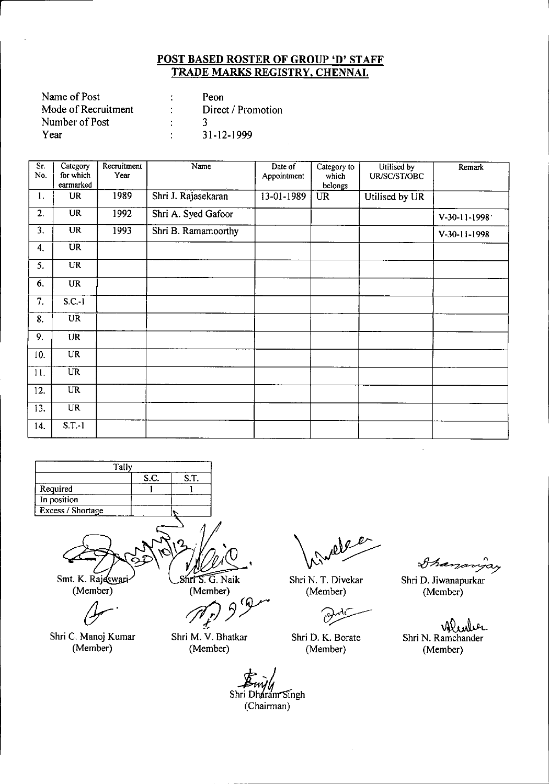| Name of Post        | Peon               |
|---------------------|--------------------|
| Mode of Recruitment | Direct / Promotion |
| Number of Post      |                    |
| Year                | $31 - 12 - 1999$   |

| $\overline{\text{Sr.}}$<br>No. | Category<br>for which<br>earmarked | Recruitment<br>Year | Name                | Date of<br>Appointment | Category to<br>which<br>belongs | Utilised by<br>UR/SC/ST/OBC | Remark       |
|--------------------------------|------------------------------------|---------------------|---------------------|------------------------|---------------------------------|-----------------------------|--------------|
| 1.                             | UR                                 | 1989                | Shri J. Rajasekaran | 13-01-1989             | <b>UR</b>                       | Utilised by UR              |              |
| 2.                             | <b>UR</b>                          | 1992                | Shri A. Syed Gafoor |                        |                                 |                             | V-30-11-1998 |
| 3.                             | <b>UR</b>                          | 1993                | Shri B. Ramamoorthy |                        |                                 |                             | V-30-11-1998 |
| 4.                             | <b>UR</b>                          |                     |                     |                        |                                 |                             |              |
| 5.                             | <b>UR</b>                          |                     |                     |                        |                                 |                             |              |
| 6.                             | <b>UR</b>                          |                     |                     |                        |                                 |                             |              |
| 7.                             | $S.C.-1$                           |                     |                     |                        |                                 |                             |              |
| 8.                             | <b>UR</b>                          |                     |                     |                        |                                 |                             |              |
| 9.                             | <b>UR</b>                          |                     |                     |                        |                                 |                             |              |
| 10.                            | <b>UR</b>                          |                     |                     |                        |                                 |                             |              |
| 11.                            | $\overline{UR}$                    |                     |                     |                        |                                 |                             |              |
| 12.                            | <b>UR</b>                          |                     |                     |                        |                                 |                             |              |
| 13.                            | <b>UR</b>                          |                     |                     |                        |                                 |                             |              |
| 14.                            | $S.T.-1$                           |                     |                     |                        |                                 |                             |              |



Gr'

Shri C. Manoj Kumar (Member)

d

Shri M. V. Bhatkar (Member)

Shri N. T. Divekar (Member)

مبر

Shri D. K. Borate (Member)

*~a;7*

Shri D. Jiwanapurkar (Member)

 $\ddot{\phantom{a}}$ 

Alunher Shri N. Ramchander (Member)

Shri Dharam Singh (Chairman)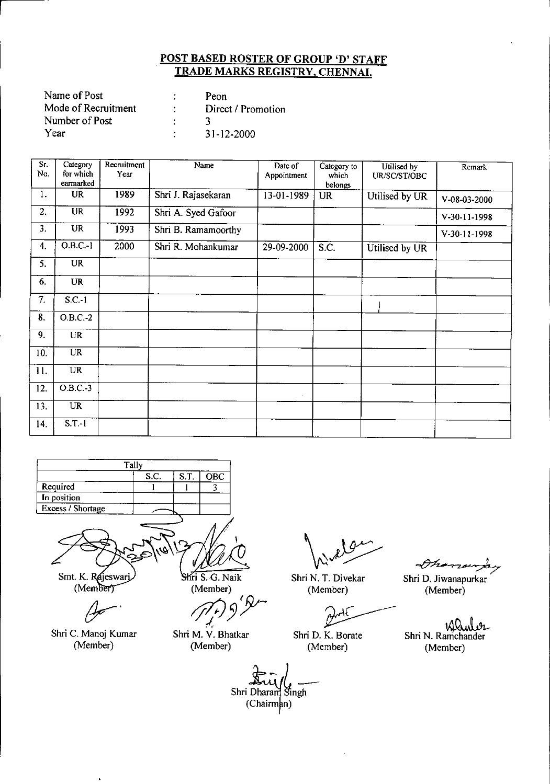| Name of Post        | Peon               |
|---------------------|--------------------|
| Mode of Recruitment | Direct / Promotion |
| Number of Post      |                    |
| Year                | 31-12-2000         |

| Sr.<br>No. | Category<br>for which<br>earmarked | Recruitment<br>Year | Name                | Date of<br>Appointment | Category to<br>which<br>belongs | Utilised by<br>UR/SC/ST/OBC | Remark       |
|------------|------------------------------------|---------------------|---------------------|------------------------|---------------------------------|-----------------------------|--------------|
| 1.         | <b>UR</b>                          | 1989                | Shri J. Rajasekaran | 13-01-1989             | UR                              | Utilised by UR              | V-08-03-2000 |
| 2.         | $\overline{UR}$                    | 1992                | Shri A. Syed Gafoor |                        |                                 |                             | V-30-11-1998 |
| 3.         | <b>UR</b>                          | 1993                | Shri B. Ramamoorthy |                        |                                 |                             | V-30-11-1998 |
| 4.         | $O.B.C.-1$                         | 2000                | Shri R. Mohankumar  | 29-09-2000             | S.C.                            | Utilised by UR              |              |
| 5.         | UR                                 |                     |                     |                        |                                 |                             |              |
| 6.         | <b>UR</b>                          |                     |                     |                        |                                 |                             |              |
| 7.         | $S.C.-1$                           |                     |                     |                        |                                 |                             |              |
| 8.         | $O.B.C.-2$                         |                     |                     |                        |                                 |                             |              |
| 9.         | <b>UR</b>                          |                     |                     |                        |                                 |                             |              |
| 10.        | <b>UR</b>                          |                     |                     |                        |                                 |                             |              |
| 11.        | <b>UR</b>                          |                     |                     |                        |                                 |                             |              |
| 12.        | O.B.C.3                            |                     |                     | $\bullet$              |                                 |                             |              |
| 13.        | <b>UR</b>                          |                     |                     |                        |                                 |                             |              |
| 14.        | $S.T.-1$                           |                     |                     |                        |                                 |                             |              |



Smt. K. Rajeswarj

(Member)

Shri C. Manoj Kumar (Member)

ri S. G. Nai (Member)

*ti* S. G. Naik<br>(Member)<br>(*J*<sup>*t*</sup>) 9<sup>*/*</sup>

Shri M. V. Bhatkar (Member)

Shri N. T. Divekar (Member)

Shri D. K. Borate (Member)

Dhana

Shri D. Jiwanapurkar (Member)

Shri N. Ramchander (Member)

Shri Dharam Singh (Chairman)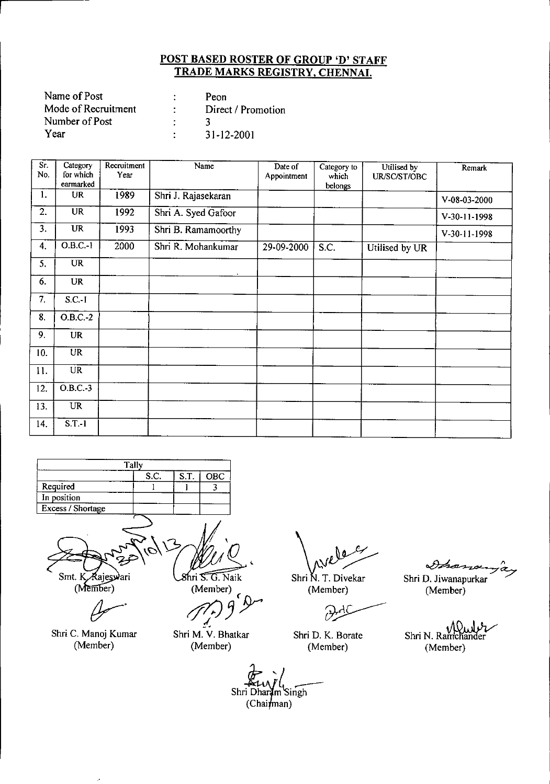| Name of Post        | Peon               |
|---------------------|--------------------|
| Mode of Recruitment | Direct / Promotion |
| Number of Post      |                    |
| Year                | $31 - 12 - 2001$   |

| $S_{r}$ .<br>No. | Category<br>for which<br>earmarked | Recruitment<br>Year | Name                | Date of<br>Appointment | Category to<br>which<br>belongs | Utilised by<br>UR/SC/ST/OBC | Remark         |
|------------------|------------------------------------|---------------------|---------------------|------------------------|---------------------------------|-----------------------------|----------------|
| $\mathbf{1}$ .   | UR                                 | 1989                | Shri J. Rajasekaran |                        |                                 |                             | V-08-03-2000   |
| 2.               | <b>UR</b>                          | 1992                | Shri A. Syed Gafoor |                        |                                 |                             | $V-30-11-1998$ |
| 3.               | <b>UR</b>                          | 1993                | Shri B. Ramamoorthy |                        |                                 |                             | V-30-11-1998   |
| 4.               | $O.B.C.-1$                         | 2000                | Shri R. Mohankumar  | 29-09-2000             | S.C.                            | Utilised by UR              |                |
| 5.               | $\overline{\text{UR}}$             |                     |                     |                        |                                 |                             |                |
| 6.               | <b>UR</b>                          |                     |                     |                        |                                 |                             |                |
| 7.               | $S.C.-I$                           |                     |                     |                        |                                 |                             |                |
| 8.               | $O.B.C.-2$                         |                     |                     |                        |                                 |                             |                |
| 9.               | <b>UR</b>                          |                     |                     |                        |                                 |                             |                |
| 10.              | <b>UR</b>                          |                     |                     |                        |                                 |                             |                |
| 11.              | <b>UR</b>                          |                     |                     |                        |                                 |                             |                |
| 12.              | $O.B.C.-3$                         |                     |                     |                        |                                 |                             |                |
| 13.              | <b>UR</b>                          |                     |                     |                        |                                 |                             |                |
| 14.              | $S.T.-1$                           |                     |                     |                        |                                 |                             |                |



(Member)

Shri C. Manoj Kumar (Member)

J.

 $8$ hri  $\widehat{\mathsf{S. G. Na} }$ ik (Member)

 $\epsilon$ 

Shri M. V. Bhatkar  $(Member)$ 

Shri N. T. Divekar Shri D. Jiwanapur<br>(Member) Shri D. Jiwanapur<br>(Member) (Member)

(Member)

 $\mathcal{L}^2$ 

Shri D. K. Borate (Member)

Dhan

Shri D. Jiwanapurkar (Member)

Shri N. Ramc (Member)

Shri Dharam Singh  $(Chainman)$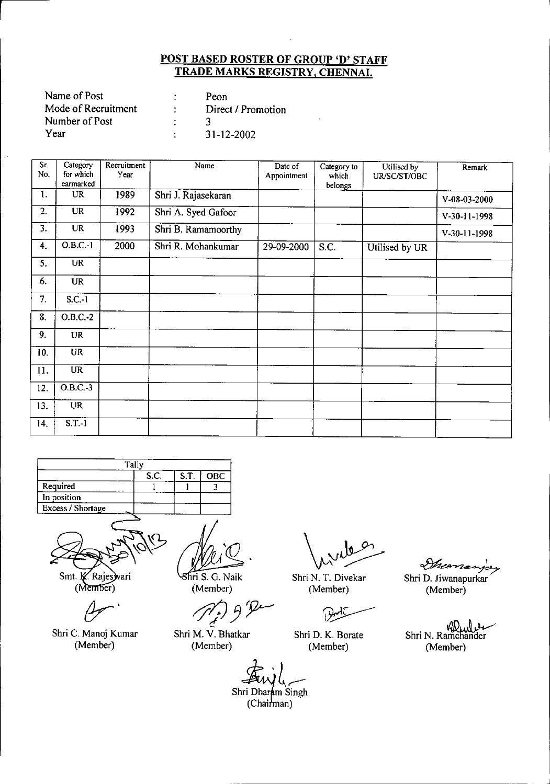| Name of Post        | Peon               |
|---------------------|--------------------|
| Mode of Recruitment | Direct / Promotion |
| Number of Post      |                    |
| Year                | 31-12-2002         |

| Sr.<br>No. | Category<br>for which<br>earmarked | Recruitment<br>Year | Name                | Date of<br>Appointment | Category to<br>which | Utilised by<br>UR/SC/ST/OBC | Remark       |
|------------|------------------------------------|---------------------|---------------------|------------------------|----------------------|-----------------------------|--------------|
| 1.         | <b>UR</b>                          | 1989                | Shri J. Rajasekaran |                        | belongs              |                             | V-08-03-2000 |
| 2.         | $\overline{\text{UR}}$             | 1992                | Shri A. Syed Gafoor |                        |                      |                             | V-30-11-1998 |
| 3.         | <b>UR</b>                          | 1993                | Shri B. Ramamoorthy |                        |                      |                             | V-30-11-1998 |
| 4.         | $O.B.C.-1$                         | 2000                | Shri R. Mohankumar  | 29-09-2000             | S.C.                 | Utilised by UR              |              |
| 5.         | <b>UR</b>                          |                     |                     |                        |                      |                             |              |
| 6.         | <b>UR</b>                          |                     |                     |                        |                      |                             |              |
| 7.         | $S.C.-1$                           |                     |                     |                        |                      |                             |              |
| 8.         | $O.B.C.-2$                         |                     |                     |                        |                      |                             |              |
| 9.         | <b>UR</b>                          |                     |                     |                        |                      |                             |              |
| 10.        | <b>UR</b>                          |                     |                     |                        |                      |                             |              |
| 11.        | <b>UR</b>                          |                     |                     |                        |                      |                             |              |
| 12.        | $O.B.C.-3$                         |                     |                     |                        |                      |                             |              |
| 13.        | $\overline{\text{UR}}$             |                     |                     |                        |                      |                             |              |
| 14.        | $S.T.-1$                           |                     |                     |                        |                      |                             |              |

|                   | Tally |      |            |
|-------------------|-------|------|------------|
|                   | S.C.  | S.T. | <b>OBC</b> |
| Required          |       |      |            |
| In position       |       |      |            |
| Excess / Shortage |       |      |            |
|                   |       |      |            |



Smt. K. Rajeswari (Member)

Shri C. Manoj Kumar (Member)

hri S. G. Naik (Member)

Shri M. V. Bhatkar (Member)

Shri N. T. Divekar (Member)

Shri D. K. Borate (Member)

Shri D. Jiwanapurkar (Member)

Monarjay

ShriN.R~ (Member)

Shri Dharam Singh<br>(Chairman)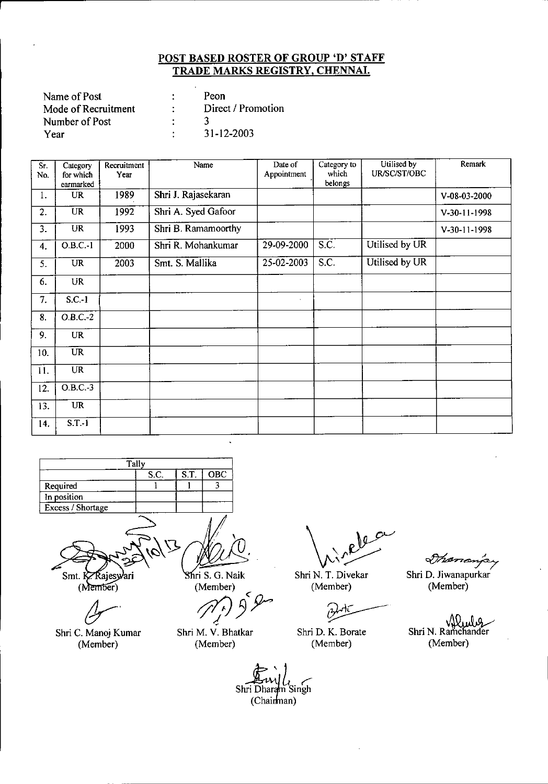| Name of Post        | Peon               |
|---------------------|--------------------|
| Mode of Recruitment | Direct / Promotion |
| Number of Post      |                    |
| Year                | 31-12-2003         |

| $\overline{\text{Sr}}$ .<br>No. | Category<br>for which<br>earmarked | Recruitment<br>Year | Name                | Date of<br>Appointment | Category to<br>which<br>belongs | Utilised by<br>UR/SC/ST/OBC | Remark         |
|---------------------------------|------------------------------------|---------------------|---------------------|------------------------|---------------------------------|-----------------------------|----------------|
| 1.                              | <b>UR</b>                          | 1989                | Shri J. Rajasekaran |                        |                                 |                             | V-08-03-2000   |
| 2.                              | <b>UR</b>                          | 1992                | Shri A. Syed Gafoor |                        |                                 |                             | $V-30-11-1998$ |
| 3.                              | UR                                 | 1993                | Shri B. Ramamoorthy |                        |                                 |                             | V-30-11-1998   |
| 4.                              | $0.B.C.-1$                         | 2000                | Shri R. Mohankumar  | 29-09-2000             | $\overline{S.C.}$               | Utilised by UR              |                |
| 5.                              | <b>UR</b>                          | 2003                | Smt. S. Mallika     | 25-02-2003             | S.C.                            | Utilised by UR              |                |
| 6.                              | UR                                 |                     |                     |                        |                                 |                             |                |
| 7.                              | $S.C.-1$                           |                     |                     |                        |                                 |                             |                |
| 8.                              | $O.B.C.-2$                         |                     |                     |                        |                                 |                             |                |
| 9.                              | <b>UR</b>                          |                     |                     |                        |                                 |                             |                |
| 10.                             | $\overline{\text{UR}}$             |                     |                     |                        |                                 |                             |                |
| 11.                             | $\overline{\text{UR}}$             |                     |                     |                        |                                 |                             |                |
| 12.                             | $0.B.C.-3$                         |                     |                     |                        |                                 |                             |                |
| 13.                             | <b>UR</b>                          |                     |                     |                        |                                 |                             |                |
| 14.                             | $S.T.-1$                           |                     |                     |                        |                                 |                             |                |

|                   | Tally |      |     |
|-------------------|-------|------|-----|
|                   | S.C.  | S.T. | OBC |
| Required          |       |      |     |
| In position       |       |      |     |
| Excess / Shortage |       |      |     |
|                   |       |      |     |

dr<sub>'</sub>

Shri C. Manoj Kumar (Member)

い

(Member)

**15. G. Naik**<br>
Member)<br>
(11. J <" *-I*

Shri M. V. Bhatka (Member)

Shri N. T. Divekar (Member)

Shri D. K. Borate (Member)

*\_.A-.( \_ -' 'Vr~"'7"'7*

Shri D. Jiwanapurkar (Member)

Shri N. Ramchander (Member)

m Singh Shri Dhara (Chairman)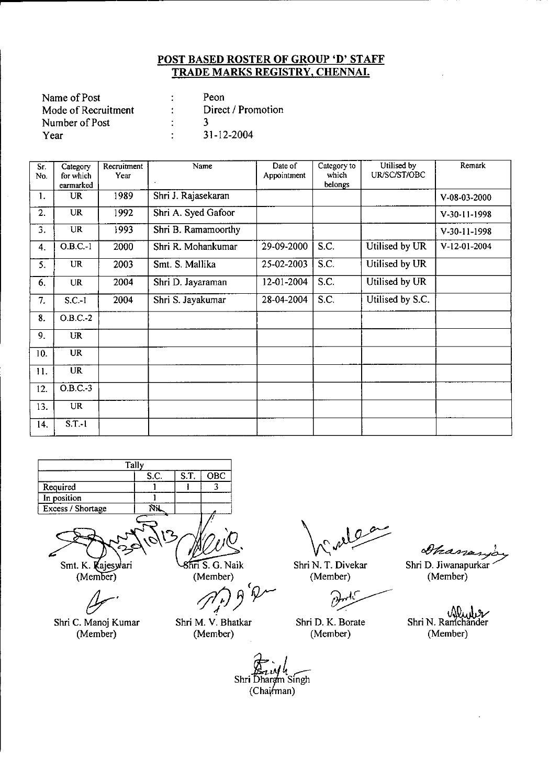| Name of Post        |   | Peon               |
|---------------------|---|--------------------|
| Mode of Recruitment |   | Direct / Promotion |
| Number of Post      |   |                    |
| Year                | ٠ | $31 - 12 - 2004$   |

| $\overline{\text{Sr.}}$<br>No. | Category<br>for which<br>earmarked | Recruitment<br>Year | Name                | Date of<br>Appointment | Category to<br>which<br>belongs | Utilised by<br>UR/SC/ST/OBC | Remark       |
|--------------------------------|------------------------------------|---------------------|---------------------|------------------------|---------------------------------|-----------------------------|--------------|
| 1.                             | UR                                 | 1989                | Shri J. Rajasekaran |                        |                                 |                             | V-08-03-2000 |
| 2.                             | UR                                 | 1992                | Shri A. Syed Gafoor |                        |                                 |                             | V-30-11-1998 |
| 3.                             | <b>UR</b>                          | 1993                | Shri B. Ramamoorthy |                        |                                 |                             | V-30-11-1998 |
| 4.                             | $O.B.C.-1$                         | 2000                | Shri R. Mohankumar  | 29-09-2000             | S.C.                            | Utilised by UR              | V-12-01-2004 |
| 5.                             | <b>UR</b>                          | 2003                | Smt. S. Mallika     | 25-02-2003             | S.C.                            | Utilised by UR              |              |
| 6.                             | <b>UR</b>                          | 2004                | Shri D. Jayaraman   | 12-01-2004             | S.C.                            | Utilised by UR              |              |
| 7.                             | $S.C.-1$                           | 2004                | Shri S. Jayakumar   | 28-04-2004             | S.C.                            | Utilised by S.C.            |              |
| 8.                             | $O.B.C. -2$                        |                     |                     |                        |                                 |                             |              |
| 9.                             | <b>UR</b>                          |                     |                     |                        |                                 |                             |              |
| 10.                            | <b>UR</b>                          |                     |                     |                        |                                 |                             |              |
| 11.                            | <b>UR</b>                          |                     |                     |                        |                                 |                             |              |
| 12.                            | $O.B.C.-3$                         |                     |                     |                        |                                 |                             |              |
| 13.                            | UR                                 |                     |                     |                        |                                 |                             |              |
| 14.                            | $S.T.-1$                           |                     |                     |                        |                                 |                             |              |



Smt. K. Kajesylari (Member)

Shri C. Manoj Kumar (Member)

 $Sn\overline{n}$  S. G. Naik (Member)

( *tft/JJ* rr-

Shri M. V. Bhatkar (Member)

 $\mathcal{Q}$ 

Shri N. T. Divekar (Member)

.<br>O

Shri D. K. Borate (Member)

Shanarja Shri D. Jiwanapurkar (Member)

Window Shri N. Ramchander (Member)

*(/r.* <sup>4</sup> Shri-Dharam Singh (Chairman)